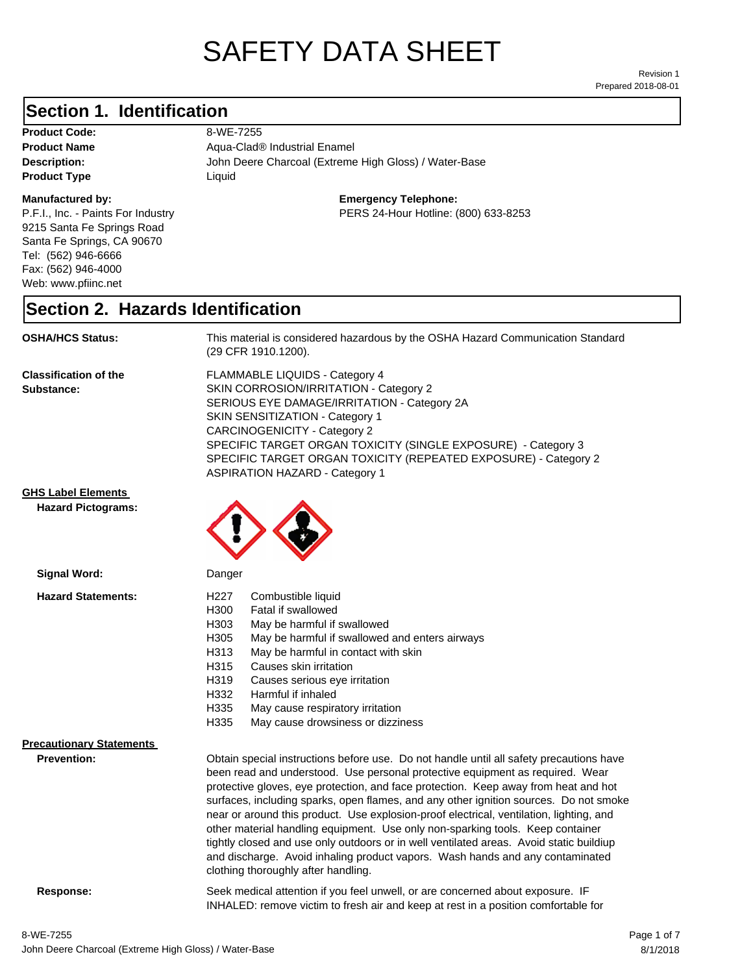# SAFETY DATA SHEET

Prepared 2018-08-01 Revision 1

#### **Section 1. Identification**

| <b>Product Code:</b> |
|----------------------|
| <b>Product Name</b>  |
| Description:         |
| <b>Product Type</b>  |

#### **Manufactured by:**

P.F.I., Inc. - Paints For Industry 9215 Santa Fe Springs Road Santa Fe Springs, CA 90670 Tel: (562) 946-6666 Fax: (562) 946-4000 Web: www.pfiinc.net

**Description:** John Deere Charcoal (Extreme High Gloss) / Water-Base **Product Code:** 8-WE-7255 **Product Name** Aqua-Clad® Industrial Enamel **Product Type** Liquid

**Emergency Telephone:**

PERS 24-Hour Hotline: (800) 633-8253

#### **Section 2. Hazards Identification**

**OSHA/HCS Status:** This material is considered hazardous by the OSHA Hazard Communication Standard (29 CFR 1910.1200).

**Classification of the Substance:**

FLAMMABLE LIQUIDS - Category 4 SKIN CORROSION/IRRITATION - Category 2 SERIOUS EYE DAMAGE/IRRITATION - Category 2A SKIN SENSITIZATION - Category 1 CARCINOGENICITY - Category 2 SPECIFIC TARGET ORGAN TOXICITY (SINGLE EXPOSURE) - Category 3 SPECIFIC TARGET ORGAN TOXICITY (REPEATED EXPOSURE) - Category 2 ASPIRATION HAZARD - Category 1

**GHS Label Elements**

**Hazard Pictograms:**



| Signal Word:                    | Danger                                                                                                                                                                                                                                                                                                                                                                                                                                                                                                                                                                                                                                                                                                                                                   |  |
|---------------------------------|----------------------------------------------------------------------------------------------------------------------------------------------------------------------------------------------------------------------------------------------------------------------------------------------------------------------------------------------------------------------------------------------------------------------------------------------------------------------------------------------------------------------------------------------------------------------------------------------------------------------------------------------------------------------------------------------------------------------------------------------------------|--|
| <b>Hazard Statements:</b>       | H <sub>227</sub><br>Combustible liquid<br>H300<br>Fatal if swallowed<br>H303<br>May be harmful if swallowed<br>H305<br>May be harmful if swallowed and enters airways<br>H313<br>May be harmful in contact with skin<br>H315<br>Causes skin irritation<br>H319<br>Causes serious eye irritation<br>H332<br>Harmful if inhaled<br>H335<br>May cause respiratory irritation<br>H335<br>May cause drowsiness or dizziness                                                                                                                                                                                                                                                                                                                                   |  |
| <b>Precautionary Statements</b> |                                                                                                                                                                                                                                                                                                                                                                                                                                                                                                                                                                                                                                                                                                                                                          |  |
| <b>Prevention:</b>              | Obtain special instructions before use. Do not handle until all safety precautions have<br>been read and understood. Use personal protective equipment as required. Wear<br>protective gloves, eye protection, and face protection. Keep away from heat and hot<br>surfaces, including sparks, open flames, and any other ignition sources. Do not smoke<br>near or around this product. Use explosion-proof electrical, ventilation, lighting, and<br>other material handling equipment. Use only non-sparking tools. Keep container<br>tightly closed and use only outdoors or in well ventilated areas. Avoid static buildiup<br>and discharge. Avoid inhaling product vapors. Wash hands and any contaminated<br>clothing thoroughly after handling. |  |
|                                 |                                                                                                                                                                                                                                                                                                                                                                                                                                                                                                                                                                                                                                                                                                                                                          |  |

**Response:** Seek medical attention if you feel unwell, or are concerned about exposure. IF INHALED: remove victim to fresh air and keep at rest in a position comfortable for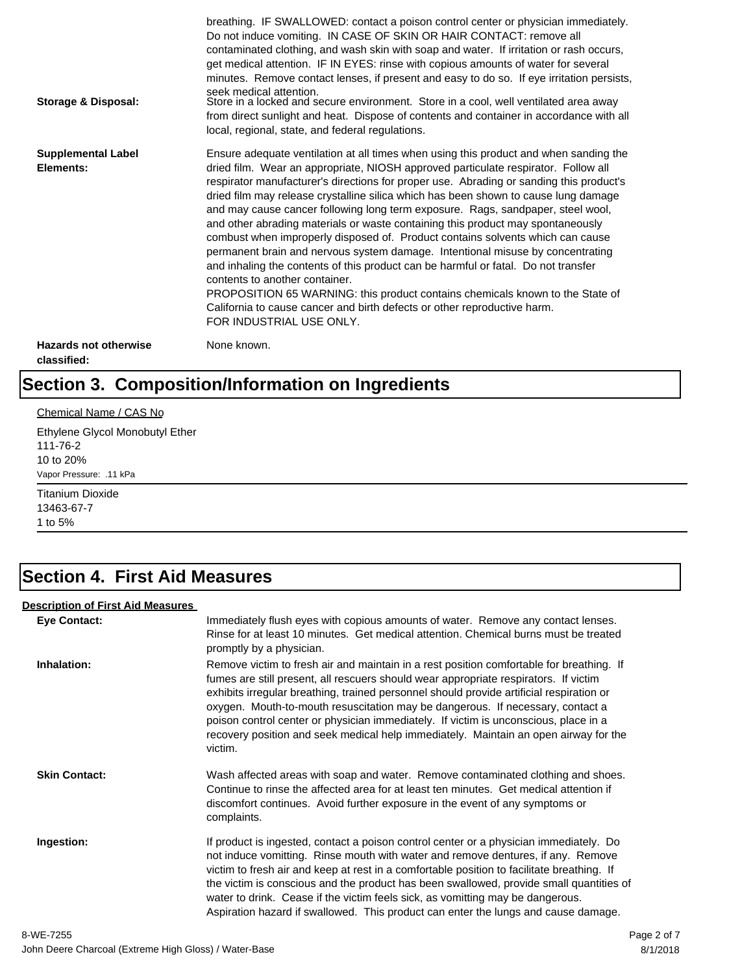| Storage & Disposal:                         | breathing. IF SWALLOWED: contact a poison control center or physician immediately.<br>Do not induce vomiting. IN CASE OF SKIN OR HAIR CONTACT: remove all<br>contaminated clothing, and wash skin with soap and water. If irritation or rash occurs,<br>get medical attention. IF IN EYES: rinse with copious amounts of water for several<br>minutes. Remove contact lenses, if present and easy to do so. If eye irritation persists,<br>seek medical attention.<br>Store in a locked and secure environment. Store in a cool, well ventilated area away<br>from direct sunlight and heat. Dispose of contents and container in accordance with all<br>local, regional, state, and federal regulations.                                                                                                                                                                                                                                                                                                                |
|---------------------------------------------|--------------------------------------------------------------------------------------------------------------------------------------------------------------------------------------------------------------------------------------------------------------------------------------------------------------------------------------------------------------------------------------------------------------------------------------------------------------------------------------------------------------------------------------------------------------------------------------------------------------------------------------------------------------------------------------------------------------------------------------------------------------------------------------------------------------------------------------------------------------------------------------------------------------------------------------------------------------------------------------------------------------------------|
| <b>Supplemental Label</b><br>Elements:      | Ensure adequate ventilation at all times when using this product and when sanding the<br>dried film. Wear an appropriate, NIOSH approved particulate respirator. Follow all<br>respirator manufacturer's directions for proper use. Abrading or sanding this product's<br>dried film may release crystalline silica which has been shown to cause lung damage<br>and may cause cancer following long term exposure. Rags, sandpaper, steel wool,<br>and other abrading materials or waste containing this product may spontaneously<br>combust when improperly disposed of. Product contains solvents which can cause<br>permanent brain and nervous system damage. Intentional misuse by concentrating<br>and inhaling the contents of this product can be harmful or fatal. Do not transfer<br>contents to another container.<br>PROPOSITION 65 WARNING: this product contains chemicals known to the State of<br>California to cause cancer and birth defects or other reproductive harm.<br>FOR INDUSTRIAL USE ONLY. |
| <b>Hazards not otherwise</b><br>classified: | None known.                                                                                                                                                                                                                                                                                                                                                                                                                                                                                                                                                                                                                                                                                                                                                                                                                                                                                                                                                                                                              |

# **Section 3. Composition/Information on Ingredients**

#### Chemical Name / CAS No

Ethylene Glycol Monobutyl Ether 111-76-2 10 to 20% Vapor Pressure: .11 kPa

Titanium Dioxide 13463-67-7 1 to 5%

### **Section 4. First Aid Measures**

#### **Description of First Aid Measures**

| <b>Eye Contact:</b>  | Immediately flush eyes with copious amounts of water. Remove any contact lenses.<br>Rinse for at least 10 minutes. Get medical attention. Chemical burns must be treated<br>promptly by a physician.                                                                                                                                                                                                                                                                                                                                                      |
|----------------------|-----------------------------------------------------------------------------------------------------------------------------------------------------------------------------------------------------------------------------------------------------------------------------------------------------------------------------------------------------------------------------------------------------------------------------------------------------------------------------------------------------------------------------------------------------------|
| Inhalation:          | Remove victim to fresh air and maintain in a rest position comfortable for breathing. If<br>fumes are still present, all rescuers should wear appropriate respirators. If victim<br>exhibits irregular breathing, trained personnel should provide artificial respiration or<br>oxygen. Mouth-to-mouth resuscitation may be dangerous. If necessary, contact a<br>poison control center or physician immediately. If victim is unconscious, place in a<br>recovery position and seek medical help immediately. Maintain an open airway for the<br>victim. |
| <b>Skin Contact:</b> | Wash affected areas with soap and water. Remove contaminated clothing and shoes.<br>Continue to rinse the affected area for at least ten minutes. Get medical attention if<br>discomfort continues. Avoid further exposure in the event of any symptoms or<br>complaints.                                                                                                                                                                                                                                                                                 |
| Ingestion:           | If product is ingested, contact a poison control center or a physician immediately. Do<br>not induce vomitting. Rinse mouth with water and remove dentures, if any. Remove<br>victim to fresh air and keep at rest in a comfortable position to facilitate breathing. If<br>the victim is conscious and the product has been swallowed, provide small quantities of<br>water to drink. Cease if the victim feels sick, as vomitting may be dangerous.<br>Aspiration hazard if swallowed. This product can enter the lungs and cause damage.               |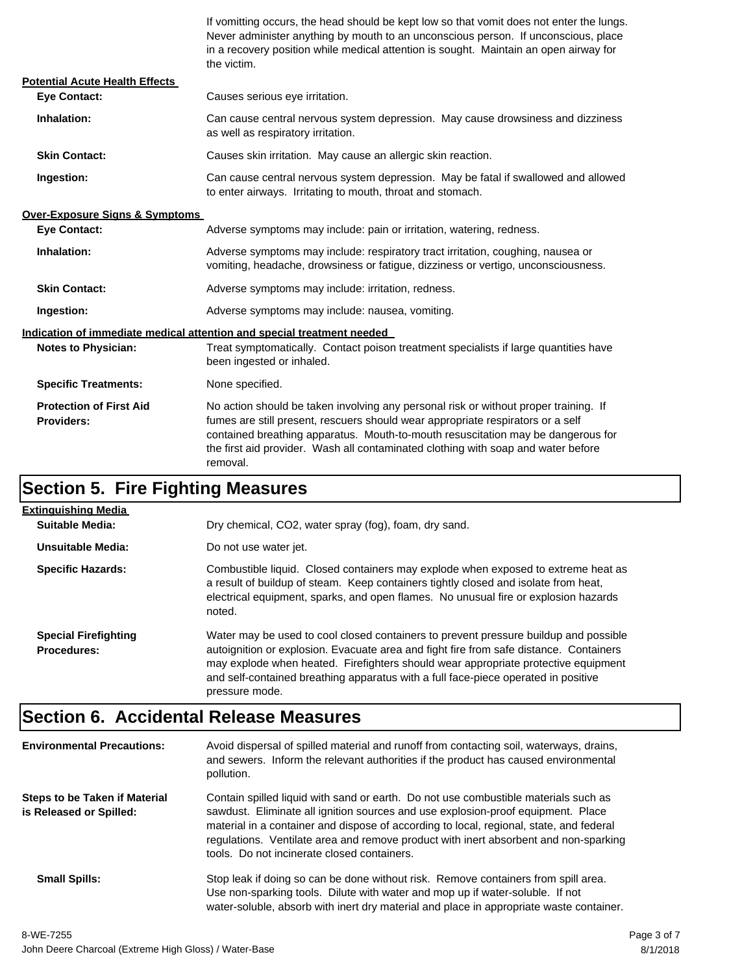If vomitting occurs, the head should be kept low so that vomit does not enter the lungs. Never administer anything by mouth to an unconscious person. If unconscious, place in a recovery position while medical attention is sought. Maintain an open airway for the victim.

| <b>Potential Acute Health Effects</b>               |                                                                                                                                                                                                                                                                                                                                                              |
|-----------------------------------------------------|--------------------------------------------------------------------------------------------------------------------------------------------------------------------------------------------------------------------------------------------------------------------------------------------------------------------------------------------------------------|
| <b>Eve Contact:</b>                                 | Causes serious eye irritation.                                                                                                                                                                                                                                                                                                                               |
| Inhalation:                                         | Can cause central nervous system depression. May cause drowsiness and dizziness<br>as well as respiratory irritation.                                                                                                                                                                                                                                        |
| <b>Skin Contact:</b>                                | Causes skin irritation. May cause an allergic skin reaction.                                                                                                                                                                                                                                                                                                 |
| Ingestion:                                          | Can cause central nervous system depression. May be fatal if swallowed and allowed<br>to enter airways. Irritating to mouth, throat and stomach.                                                                                                                                                                                                             |
| <b>Over-Exposure Signs &amp; Symptoms</b>           |                                                                                                                                                                                                                                                                                                                                                              |
| <b>Eye Contact:</b>                                 | Adverse symptoms may include: pain or irritation, watering, redness.                                                                                                                                                                                                                                                                                         |
| Inhalation:                                         | Adverse symptoms may include: respiratory tract irritation, coughing, nausea or<br>vomiting, headache, drowsiness or fatigue, dizziness or vertigo, unconsciousness.                                                                                                                                                                                         |
| <b>Skin Contact:</b>                                | Adverse symptoms may include: irritation, redness.                                                                                                                                                                                                                                                                                                           |
| Ingestion:                                          | Adverse symptoms may include: nausea, vomiting.                                                                                                                                                                                                                                                                                                              |
|                                                     | Indication of immediate medical attention and special treatment needed                                                                                                                                                                                                                                                                                       |
| <b>Notes to Physician:</b>                          | Treat symptomatically. Contact poison treatment specialists if large quantities have<br>been ingested or inhaled.                                                                                                                                                                                                                                            |
| <b>Specific Treatments:</b>                         | None specified.                                                                                                                                                                                                                                                                                                                                              |
| <b>Protection of First Aid</b><br><b>Providers:</b> | No action should be taken involving any personal risk or without proper training. If<br>fumes are still present, rescuers should wear appropriate respirators or a self<br>contained breathing apparatus. Mouth-to-mouth resuscitation may be dangerous for<br>the first aid provider. Wash all contaminated clothing with soap and water before<br>removal. |

### **Section 5. Fire Fighting Measures**

| <b>Extinguishing Media</b>                        |                                                                                                                                                                                                                                                                                                                                                                              |
|---------------------------------------------------|------------------------------------------------------------------------------------------------------------------------------------------------------------------------------------------------------------------------------------------------------------------------------------------------------------------------------------------------------------------------------|
| Suitable Media:                                   | Dry chemical, CO2, water spray (fog), foam, dry sand.                                                                                                                                                                                                                                                                                                                        |
| Unsuitable Media:                                 | Do not use water jet.                                                                                                                                                                                                                                                                                                                                                        |
| <b>Specific Hazards:</b>                          | Combustible liquid. Closed containers may explode when exposed to extreme heat as<br>a result of buildup of steam. Keep containers tightly closed and isolate from heat,<br>electrical equipment, sparks, and open flames. No unusual fire or explosion hazards<br>noted.                                                                                                    |
| <b>Special Firefighting</b><br><b>Procedures:</b> | Water may be used to cool closed containers to prevent pressure buildup and possible<br>autoignition or explosion. Evacuate area and fight fire from safe distance. Containers<br>may explode when heated. Firefighters should wear appropriate protective equipment<br>and self-contained breathing apparatus with a full face-piece operated in positive<br>pressure mode. |

## **Section 6. Accidental Release Measures**

| <b>Environmental Precautions:</b>                               | Avoid dispersal of spilled material and runoff from contacting soil, waterways, drains,<br>and sewers. Inform the relevant authorities if the product has caused environmental<br>pollution.                                                                                                                                                                                                              |
|-----------------------------------------------------------------|-----------------------------------------------------------------------------------------------------------------------------------------------------------------------------------------------------------------------------------------------------------------------------------------------------------------------------------------------------------------------------------------------------------|
| <b>Steps to be Taken if Material</b><br>is Released or Spilled: | Contain spilled liquid with sand or earth. Do not use combustible materials such as<br>sawdust. Eliminate all ignition sources and use explosion-proof equipment. Place<br>material in a container and dispose of according to local, regional, state, and federal<br>regulations. Ventilate area and remove product with inert absorbent and non-sparking<br>tools. Do not incinerate closed containers. |
| <b>Small Spills:</b>                                            | Stop leak if doing so can be done without risk. Remove containers from spill area.<br>Use non-sparking tools. Dilute with water and mop up if water-soluble. If not<br>water-soluble, absorb with inert dry material and place in appropriate waste container.                                                                                                                                            |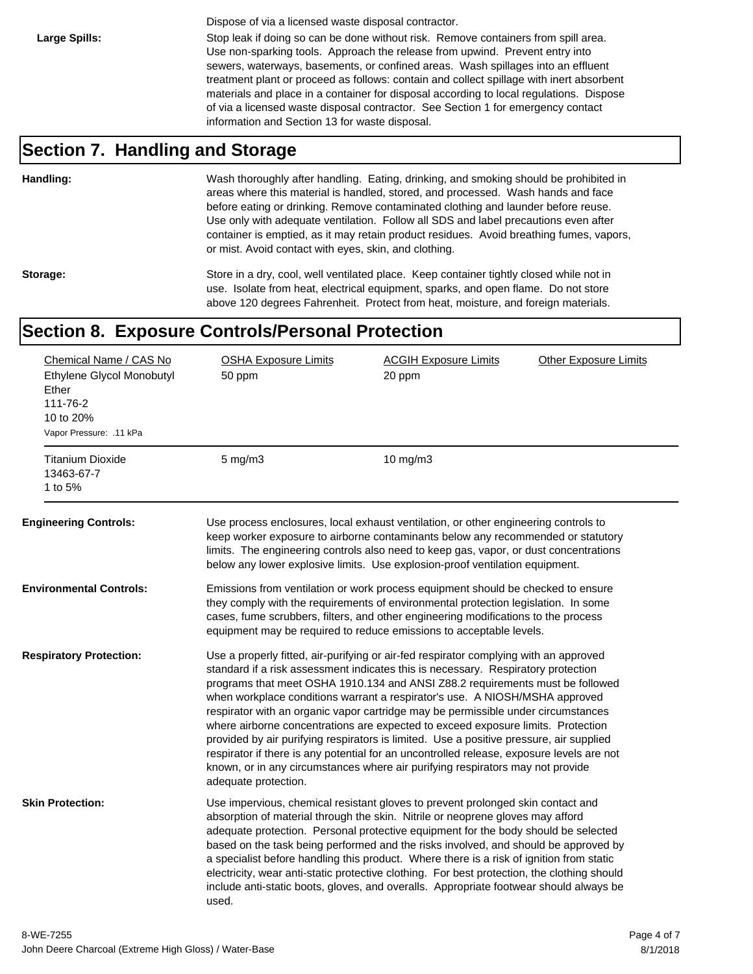Dispose of via a licensed waste disposal contractor.

Large Spills: Stop leak if doing so can be done without risk. Remove containers from spill area. Use non-sparking tools. Approach the release from upwind. Prevent entry into sewers, waterways, basements, or confined areas. Wash spillages into an effluent treatment plant or proceed as follows: contain and collect spillage with inert absorbent materials and place in a container for disposal according to local regulations. Dispose of via a licensed waste disposal contractor. See Section 1 for emergency contact information and Section 13 for waste disposal.

#### **Section 7. Handling and Storage**

**Handling:** Wash thoroughly after handling. Eating, drinking, and smoking should be prohibited in areas where this material is handled, stored, and processed. Wash hands and face before eating or drinking. Remove contaminated clothing and launder before reuse. Use only with adequate ventilation. Follow all SDS and label precautions even after container is emptied, as it may retain product residues. Avoid breathing fumes, vapors, or mist. Avoid contact with eyes, skin, and clothing.

Storage: Store in a dry, cool, well ventilated place. Keep container tightly closed while not in use. Isolate from heat, electrical equipment, sparks, and open flame. Do not store above 120 degrees Fahrenheit. Protect from heat, moisture, and foreign materials.

#### **Section 8. Exposure Controls/Personal Protection**

| <b>OSHA Exposure Limits</b> | <b>ACGIH Exposure Limits</b> | <b>Other Exposure Limits</b>                                                                                                                                                                                                                                                                                                                                                                                                                                                                                                                                                                                                                                                                                                                                                                                                                                                                                                                                                                                                                                                                                                                                                                                                                                                                                                                                                                                                                                                                                                                                                                                                                                                                                                                                                                                                                                                                                                                                                                                                                                                                                                              |
|-----------------------------|------------------------------|-------------------------------------------------------------------------------------------------------------------------------------------------------------------------------------------------------------------------------------------------------------------------------------------------------------------------------------------------------------------------------------------------------------------------------------------------------------------------------------------------------------------------------------------------------------------------------------------------------------------------------------------------------------------------------------------------------------------------------------------------------------------------------------------------------------------------------------------------------------------------------------------------------------------------------------------------------------------------------------------------------------------------------------------------------------------------------------------------------------------------------------------------------------------------------------------------------------------------------------------------------------------------------------------------------------------------------------------------------------------------------------------------------------------------------------------------------------------------------------------------------------------------------------------------------------------------------------------------------------------------------------------------------------------------------------------------------------------------------------------------------------------------------------------------------------------------------------------------------------------------------------------------------------------------------------------------------------------------------------------------------------------------------------------------------------------------------------------------------------------------------------------|
|                             |                              |                                                                                                                                                                                                                                                                                                                                                                                                                                                                                                                                                                                                                                                                                                                                                                                                                                                                                                                                                                                                                                                                                                                                                                                                                                                                                                                                                                                                                                                                                                                                                                                                                                                                                                                                                                                                                                                                                                                                                                                                                                                                                                                                           |
| $5$ mg/m $3$                | $10$ mg/m $3$                |                                                                                                                                                                                                                                                                                                                                                                                                                                                                                                                                                                                                                                                                                                                                                                                                                                                                                                                                                                                                                                                                                                                                                                                                                                                                                                                                                                                                                                                                                                                                                                                                                                                                                                                                                                                                                                                                                                                                                                                                                                                                                                                                           |
|                             |                              |                                                                                                                                                                                                                                                                                                                                                                                                                                                                                                                                                                                                                                                                                                                                                                                                                                                                                                                                                                                                                                                                                                                                                                                                                                                                                                                                                                                                                                                                                                                                                                                                                                                                                                                                                                                                                                                                                                                                                                                                                                                                                                                                           |
|                             |                              |                                                                                                                                                                                                                                                                                                                                                                                                                                                                                                                                                                                                                                                                                                                                                                                                                                                                                                                                                                                                                                                                                                                                                                                                                                                                                                                                                                                                                                                                                                                                                                                                                                                                                                                                                                                                                                                                                                                                                                                                                                                                                                                                           |
| adequate protection.        |                              |                                                                                                                                                                                                                                                                                                                                                                                                                                                                                                                                                                                                                                                                                                                                                                                                                                                                                                                                                                                                                                                                                                                                                                                                                                                                                                                                                                                                                                                                                                                                                                                                                                                                                                                                                                                                                                                                                                                                                                                                                                                                                                                                           |
| used.                       |                              |                                                                                                                                                                                                                                                                                                                                                                                                                                                                                                                                                                                                                                                                                                                                                                                                                                                                                                                                                                                                                                                                                                                                                                                                                                                                                                                                                                                                                                                                                                                                                                                                                                                                                                                                                                                                                                                                                                                                                                                                                                                                                                                                           |
|                             | 50 ppm                       | 20 ppm<br>Use process enclosures, local exhaust ventilation, or other engineering controls to<br>keep worker exposure to airborne contaminants below any recommended or statutory<br>limits. The engineering controls also need to keep gas, vapor, or dust concentrations<br>below any lower explosive limits. Use explosion-proof ventilation equipment.<br>Emissions from ventilation or work process equipment should be checked to ensure<br>they comply with the requirements of environmental protection legislation. In some<br>cases, fume scrubbers, filters, and other engineering modifications to the process<br>equipment may be required to reduce emissions to acceptable levels.<br>Use a properly fitted, air-purifying or air-fed respirator complying with an approved<br>standard if a risk assessment indicates this is necessary. Respiratory protection<br>programs that meet OSHA 1910.134 and ANSI Z88.2 requirements must be followed<br>when workplace conditions warrant a respirator's use. A NIOSH/MSHA approved<br>respirator with an organic vapor cartridge may be permissible under circumstances<br>where airborne concentrations are expected to exceed exposure limits. Protection<br>provided by air purifying respirators is limited. Use a positive pressure, air supplied<br>respirator if there is any potential for an uncontrolled release, exposure levels are not<br>known, or in any circumstances where air purifying respirators may not provide<br>Use impervious, chemical resistant gloves to prevent prolonged skin contact and<br>absorption of material through the skin. Nitrile or neoprene gloves may afford<br>adequate protection. Personal protective equipment for the body should be selected<br>based on the task being performed and the risks involved, and should be approved by<br>a specialist before handling this product. Where there is a risk of ignition from static<br>electricity, wear anti-static protective clothing. For best protection, the clothing should<br>include anti-static boots, gloves, and overalls. Appropriate footwear should always be |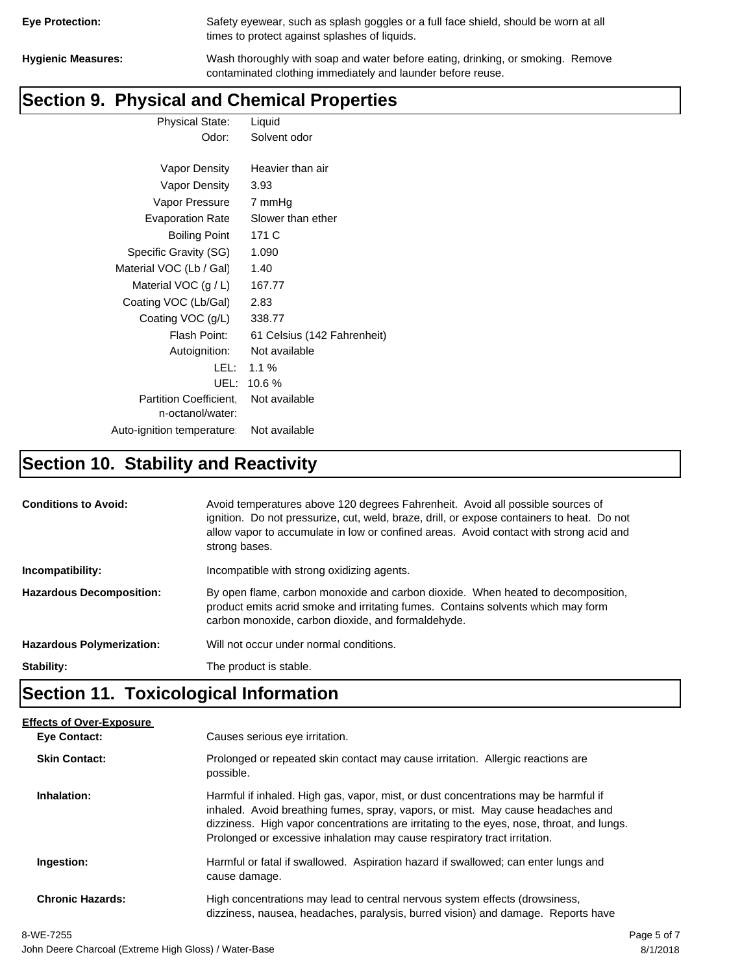| <b>Eye Protection:</b> |  |
|------------------------|--|
|                        |  |

Safety eyewear, such as splash goggles or a full face shield, should be worn at all times to protect against splashes of liquids.

**Hygienic Measures:** Wash thoroughly with soap and water before eating, drinking, or smoking. Remove contaminated clothing immediately and launder before reuse.

# **Section 9. Physical and Chemical Properties**

Physical State: Liquid Odor: Solvent odor

| Vapor Density                                     | Heavier than air            |
|---------------------------------------------------|-----------------------------|
| Vapor Density                                     | 3.93                        |
| Vapor Pressure                                    | 7 mmHg                      |
| <b>Evaporation Rate</b>                           | Slower than ether           |
| <b>Boiling Point</b>                              | 171 C                       |
| Specific Gravity (SG)                             | 1.090                       |
| Material VOC (Lb / Gal)                           | 1.40                        |
| Material VOC $(g/L)$                              | 167.77                      |
| Coating VOC (Lb/Gal)                              | 2.83                        |
| Coating VOC (g/L)                                 | 338.77                      |
| Flash Point:                                      | 61 Celsius (142 Fahrenheit) |
| Autoignition:                                     | Not available               |
| LEL: I                                            | $1.1\%$                     |
| UEL:                                              | 10.6%                       |
| <b>Partition Coefficient.</b><br>n-octanol/water: | Not available               |
| Auto-ignition temperature:                        | Not available               |

# **Section 10. Stability and Reactivity**

| <b>Conditions to Avoid:</b>      | Avoid temperatures above 120 degrees Fahrenheit. Avoid all possible sources of<br>ignition. Do not pressurize, cut, weld, braze, drill, or expose containers to heat. Do not<br>allow vapor to accumulate in low or confined areas. Avoid contact with strong acid and<br>strong bases. |
|----------------------------------|-----------------------------------------------------------------------------------------------------------------------------------------------------------------------------------------------------------------------------------------------------------------------------------------|
| Incompatibility:                 | Incompatible with strong oxidizing agents.                                                                                                                                                                                                                                              |
| <b>Hazardous Decomposition:</b>  | By open flame, carbon monoxide and carbon dioxide. When heated to decomposition,<br>product emits acrid smoke and irritating fumes. Contains solvents which may form<br>carbon monoxide, carbon dioxide, and formaldehyde.                                                              |
| <b>Hazardous Polymerization:</b> | Will not occur under normal conditions.                                                                                                                                                                                                                                                 |
| Stability:                       | The product is stable.                                                                                                                                                                                                                                                                  |

# **Section 11. Toxicological Information**

| <b>Effects of Over-Exposure</b> |                                                                                                                                                                                                                                                                                                                                                  |
|---------------------------------|--------------------------------------------------------------------------------------------------------------------------------------------------------------------------------------------------------------------------------------------------------------------------------------------------------------------------------------------------|
| <b>Eye Contact:</b>             | Causes serious eye irritation.                                                                                                                                                                                                                                                                                                                   |
| <b>Skin Contact:</b>            | Prolonged or repeated skin contact may cause irritation. Allergic reactions are<br>possible.                                                                                                                                                                                                                                                     |
| Inhalation:                     | Harmful if inhaled. High gas, vapor, mist, or dust concentrations may be harmful if<br>inhaled. Avoid breathing fumes, spray, vapors, or mist. May cause headaches and<br>dizziness. High vapor concentrations are irritating to the eyes, nose, throat, and lungs.<br>Prolonged or excessive inhalation may cause respiratory tract irritation. |
| Ingestion:                      | Harmful or fatal if swallowed. Aspiration hazard if swallowed; can enter lungs and<br>cause damage.                                                                                                                                                                                                                                              |
| <b>Chronic Hazards:</b>         | High concentrations may lead to central nervous system effects (drowsiness,<br>dizziness, nausea, headaches, paralysis, burred vision) and damage. Reports have                                                                                                                                                                                  |
|                                 |                                                                                                                                                                                                                                                                                                                                                  |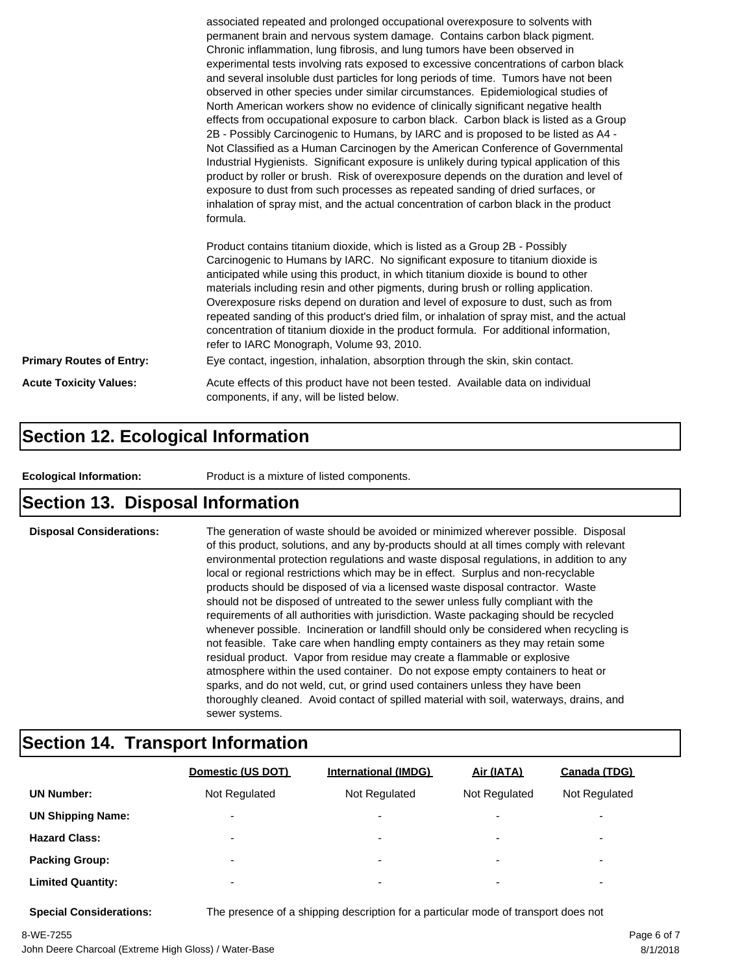|                                 | associated repeated and prolonged occupational overexposure to solvents with<br>permanent brain and nervous system damage. Contains carbon black pigment.<br>Chronic inflammation, lung fibrosis, and lung tumors have been observed in<br>experimental tests involving rats exposed to excessive concentrations of carbon black<br>and several insoluble dust particles for long periods of time. Tumors have not been<br>observed in other species under similar circumstances. Epidemiological studies of<br>North American workers show no evidence of clinically significant negative health<br>effects from occupational exposure to carbon black. Carbon black is listed as a Group<br>2B - Possibly Carcinogenic to Humans, by IARC and is proposed to be listed as A4 -<br>Not Classified as a Human Carcinogen by the American Conference of Governmental<br>Industrial Hygienists. Significant exposure is unlikely during typical application of this<br>product by roller or brush. Risk of overexposure depends on the duration and level of<br>exposure to dust from such processes as repeated sanding of dried surfaces, or<br>inhalation of spray mist, and the actual concentration of carbon black in the product<br>formula.<br>Product contains titanium dioxide, which is listed as a Group 2B - Possibly<br>Carcinogenic to Humans by IARC. No significant exposure to titanium dioxide is<br>anticipated while using this product, in which titanium dioxide is bound to other<br>materials including resin and other pigments, during brush or rolling application.<br>Overexposure risks depend on duration and level of exposure to dust, such as from |  |  |
|---------------------------------|------------------------------------------------------------------------------------------------------------------------------------------------------------------------------------------------------------------------------------------------------------------------------------------------------------------------------------------------------------------------------------------------------------------------------------------------------------------------------------------------------------------------------------------------------------------------------------------------------------------------------------------------------------------------------------------------------------------------------------------------------------------------------------------------------------------------------------------------------------------------------------------------------------------------------------------------------------------------------------------------------------------------------------------------------------------------------------------------------------------------------------------------------------------------------------------------------------------------------------------------------------------------------------------------------------------------------------------------------------------------------------------------------------------------------------------------------------------------------------------------------------------------------------------------------------------------------------------------------------------------------------------------------------------------------------|--|--|
|                                 | repeated sanding of this product's dried film, or inhalation of spray mist, and the actual<br>concentration of titanium dioxide in the product formula. For additional information,<br>refer to IARC Monograph, Volume 93, 2010.                                                                                                                                                                                                                                                                                                                                                                                                                                                                                                                                                                                                                                                                                                                                                                                                                                                                                                                                                                                                                                                                                                                                                                                                                                                                                                                                                                                                                                                   |  |  |
| <b>Primary Routes of Entry:</b> | Eye contact, ingestion, inhalation, absorption through the skin, skin contact.                                                                                                                                                                                                                                                                                                                                                                                                                                                                                                                                                                                                                                                                                                                                                                                                                                                                                                                                                                                                                                                                                                                                                                                                                                                                                                                                                                                                                                                                                                                                                                                                     |  |  |
| <b>Acute Toxicity Values:</b>   | Acute effects of this product have not been tested. Available data on individual<br>components, if any, will be listed below.                                                                                                                                                                                                                                                                                                                                                                                                                                                                                                                                                                                                                                                                                                                                                                                                                                                                                                                                                                                                                                                                                                                                                                                                                                                                                                                                                                                                                                                                                                                                                      |  |  |

#### **Section 12. Ecological Information**

**Ecological Information:** Product is a mixture of listed components.

#### **Section 13. Disposal Information**

**Disposal Considerations:** The generation of waste should be avoided or minimized wherever possible. Disposal of this product, solutions, and any by-products should at all times comply with relevant environmental protection regulations and waste disposal regulations, in addition to any local or regional restrictions which may be in effect. Surplus and non-recyclable products should be disposed of via a licensed waste disposal contractor. Waste should not be disposed of untreated to the sewer unless fully compliant with the requirements of all authorities with jurisdiction. Waste packaging should be recycled whenever possible. Incineration or landfill should only be considered when recycling is not feasible. Take care when handling empty containers as they may retain some residual product. Vapor from residue may create a flammable or explosive atmosphere within the used container. Do not expose empty containers to heat or sparks, and do not weld, cut, or grind used containers unless they have been thoroughly cleaned. Avoid contact of spilled material with soil, waterways, drains, and sewer systems.

#### **Section 14. Transport Information**

|                          | Domestic (US DOT)        | <b>International (IMDG)</b> | Air (IATA)               | Canada (TDG)             |
|--------------------------|--------------------------|-----------------------------|--------------------------|--------------------------|
| <b>UN Number:</b>        | Not Regulated            | Not Regulated               | Not Regulated            | Not Regulated            |
| <b>UN Shipping Name:</b> | $\overline{\phantom{0}}$ | $\overline{\phantom{0}}$    | $\overline{\phantom{0}}$ | $\overline{\phantom{0}}$ |
| <b>Hazard Class:</b>     | $\overline{\phantom{0}}$ | $\overline{\phantom{0}}$    | $\overline{\phantom{0}}$ | $\overline{\phantom{0}}$ |
| <b>Packing Group:</b>    | $\overline{\phantom{0}}$ | ۰                           | $\overline{\phantom{0}}$ | $\overline{\phantom{0}}$ |
| <b>Limited Quantity:</b> | $\overline{\phantom{0}}$ | $\overline{\phantom{0}}$    | $\overline{\phantom{0}}$ | $\overline{\phantom{a}}$ |

**Special Considerations:** The presence of a shipping description for a particular mode of transport does not